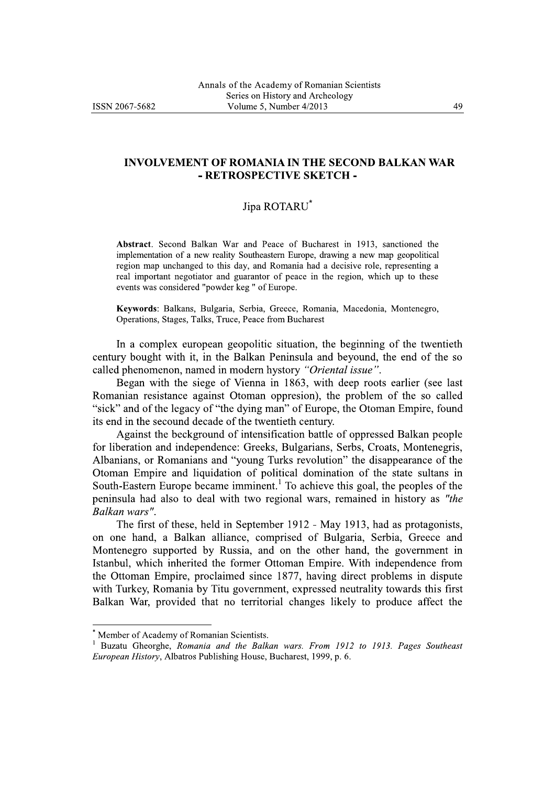## **INVOLVEMENT OF ROMANIA IN THE SECOND BALKAN WAR** - RETROSPECTIVE SKETCH -

## Jipa ROTARU\*

Abstract. Second Balkan War and Peace of Bucharest in 1913, sanctioned the implementation of a new reality Southeastern Europe, drawing a new map geopolitical region map unchanged to this day, and Romania had a decisive role, representing a real important negotiator and guarantor of peace in the region, which up to these events was considered "powder keg" of Europe.

Keywords: Balkans, Bulgaria, Serbia, Greece, Romania, Macedonia, Montenegro, Operations, Stages, Talks, Truce, Peace from Bucharest

In a complex european geopolitic situation, the beginning of the twentieth century bought with it, in the Balkan Peninsula and beyound, the end of the so called phenomenon, named in modern hystory "Oriental issue".

Began with the siege of Vienna in 1863, with deep roots earlier (see last Romanian resistance against Otoman oppression), the problem of the so called "sick" and of the legacy of "the dying man" of Europe, the Otoman Empire, found its end in the secound decade of the twentieth century.

Against the beckground of intensification battle of oppressed Balkan people for liberation and independence: Greeks, Bulgarians, Serbs, Croats, Montenegris, Albanians, or Romanians and "young Turks revolution" the disappearance of the Otoman Empire and liquidation of political domination of the state sultans in South-Eastern Europe became imminent.<sup>1</sup> To achieve this goal, the peoples of the peninsula had also to deal with two regional wars, remained in history as "the Balkan wars".

The first of these, held in September 1912 - May 1913, had as protagonists, on one hand, a Balkan alliance, comprised of Bulgaria, Serbia, Greece and Montenegro supported by Russia, and on the other hand, the government in Istanbul, which inherited the former Ottoman Empire. With independence from the Ottoman Empire, proclaimed since 1877, having direct problems in dispute with Turkey, Romania by Titu government, expressed neutrality towards this first Balkan War, provided that no territorial changes likely to produce affect the

Member of Academy of Romanian Scientists.

Buzatu Gheorghe, Romania and the Balkan wars. From 1912 to 1913. Pages Southeast European History, Albatros Publishing House, Bucharest, 1999, p. 6.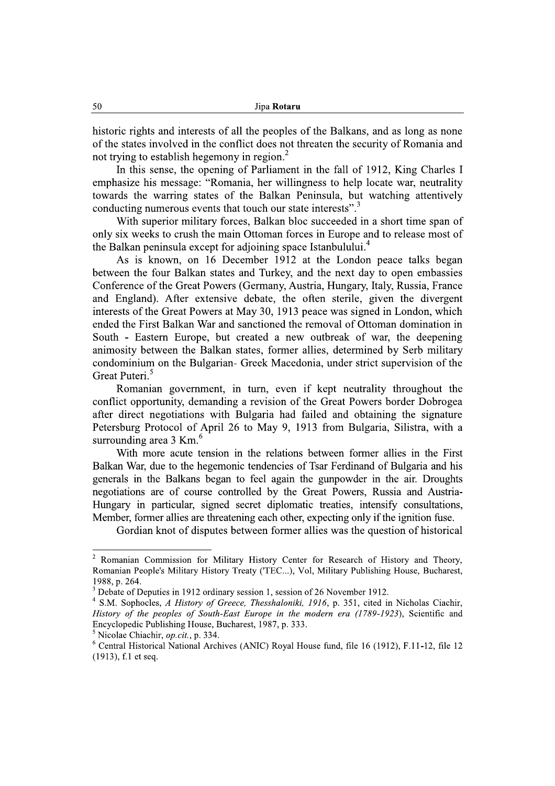historic rights and interests of all the peoples of the Balkans, and as long as none of the states involved in the conflict does not threaten the security of Romania and not trying to establish hegemony in region.<sup>2</sup>

In this sense, the opening of Parliament in the fall of 1912, King Charles I emphasize his message: "Romania, her willingness to help locate war, neutrality towards the warring states of the Balkan Peninsula, but watching attentively conducting numerous events that touch our state interests".

With superior military forces, Balkan bloc succeeded in a short time span of only six weeks to crush the main Ottoman forces in Europe and to release most of the Balkan peninsula except for adjoining space Istanbulului.<sup>4</sup>

As is known, on 16 December 1912 at the London peace talks began between the four Balkan states and Turkey, and the next day to open embassies Conference of the Great Powers (Germany, Austria, Hungary, Italy, Russia, France and England). After extensive debate, the often sterile, given the divergent interests of the Great Powers at May 30, 1913 peace was signed in London, which ended the First Balkan War and sanctioned the removal of Ottoman domination in South - Eastern Europe, but created a new outbreak of war, the deepening animosity between the Balkan states, former allies, determined by Serb military condominium on the Bulgarian- Greek Macedonia, under strict supervision of the Great Puteri.<sup>5</sup>

Romanian government, in turn, even if kept neutrality throughout the conflict opportunity, demanding a revision of the Great Powers border Dobrogea after direct negotiations with Bulgaria had failed and obtaining the signature Petersburg Protocol of April 26 to May 9, 1913 from Bulgaria, Silistra, with a surrounding area 3 Km.<sup>6</sup>

With more acute tension in the relations between former allies in the First Balkan War, due to the hegemonic tendencies of Tsar Ferdinand of Bulgaria and his generals in the Balkans began to feel again the gunpowder in the air. Droughts negotiations are of course controlled by the Great Powers, Russia and Austria-Hungary in particular, signed secret diplomatic treaties, intensify consultations, Member, former allies are threatening each other, expecting only if the ignition fuse.

Gordian knot of disputes between former allies was the question of historical

<sup>&</sup>lt;sup>2</sup> Romanian Commission for Military History Center for Research of History and Theory, Romanian People's Military History Treaty ('TEC...), Vol, Military Publishing House, Bucharest, 1988, p. 264.

<sup>&</sup>lt;sup>3</sup> Debate of Deputies in 1912 ordinary session 1, session of 26 November 1912.

<sup>&</sup>lt;sup>4</sup> S.M. Sophocles, A History of Greece, Thesshaloniki, 1916, p. 351, cited in Nicholas Ciachir, History of the peoples of South-East Europe in the modern era (1789-1923), Scientific and Encyclopedic Publishing House, Bucharest, 1987, p. 333.

<sup>&</sup>lt;sup>5</sup> Nicolae Chiachir, *op.cit.*, p. 334.

 $6$  Central Historical National Archives (ANIC) Royal House fund, file 16 (1912), F.11-12, file 12 (1913), f.1 et seq.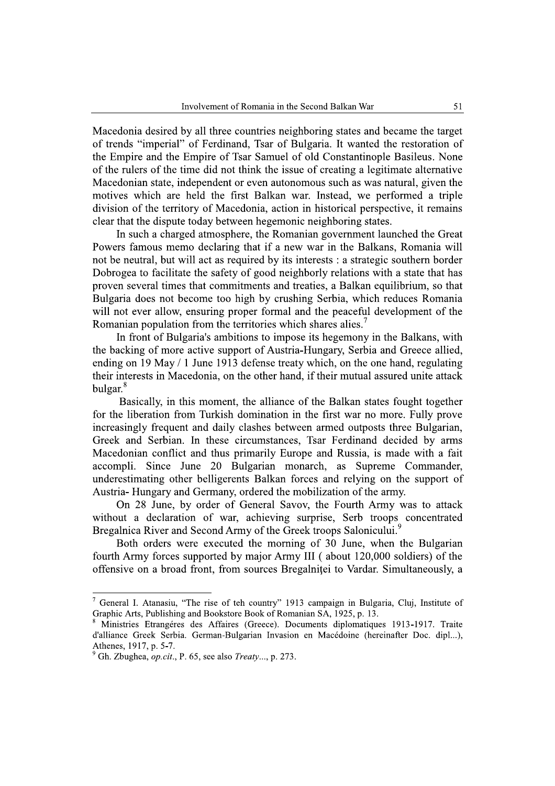Macedonia desired by all three countries neighboring states and became the target of trends "imperial" of Ferdinand, Tsar of Bulgaria. It wanted the restoration of the Empire and the Empire of Tsar Samuel of old Constantinople Basileus. None of the rulers of the time did not think the issue of creating a legitimate alternative Macedonian state, independent or even autonomous such as was natural, given the motives which are held the first Balkan war. Instead, we performed a triple division of the territory of Macedonia, action in historical perspective, it remains clear that the dispute today between hegemonic neighboring states.

In such a charged atmosphere, the Romanian government launched the Great Powers famous memo declaring that if a new war in the Balkans, Romania will not be neutral, but will act as required by its interests : a strategic southern border Dobrogea to facilitate the safety of good neighborly relations with a state that has proven several times that commitments and treaties, a Balkan equilibrium, so that Bulgaria does not become too high by crushing Serbia, which reduces Romania will not ever allow, ensuring proper formal and the peaceful development of the Romanian population from the territories which shares alies.<sup>7</sup>

In front of Bulgaria's ambitions to impose its hegemony in the Balkans, with the backing of more active support of Austria-Hungary, Serbia and Greece allied, ending on 19 May  $/$  1 June 1913 defense treaty which, on the one hand, regulating their interests in Macedonia, on the other hand, if their mutual assured unite attack  $bulgar.<sup>8</sup>$ 

Basically, in this moment, the alliance of the Balkan states fought together for the liberation from Turkish domination in the first war no more. Fully prove increasingly frequent and daily clashes between armed outposts three Bulgarian, Greek and Serbian. In these circumstances, Tsar Ferdinand decided by arms Macedonian conflict and thus primarily Europe and Russia, is made with a fait accompli. Since June 20 Bulgarian monarch, as Supreme Commander. underestimating other belligerents Balkan forces and relying on the support of Austria-Hungary and Germany, ordered the mobilization of the army.

On 28 June, by order of General Savov, the Fourth Army was to attack without a declaration of war, achieving surprise, Serb troops concentrated Bregalnica River and Second Army of the Greek troops Salonicului.

Both orders were executed the morning of 30 June, when the Bulgarian fourth Army forces supported by major Army III (about 120,000 soldiers) of the offensive on a broad front, from sources Bregalnitei to Vardar. Simultaneously, a

 $\overline{7}$ General I. Atanasiu, "The rise of teh country" 1913 campaign in Bulgaria, Cluj, Institute of Graphic Arts, Publishing and Bookstore Book of Romanian SA, 1925, p. 13.

Ministries Etrangéres des Affaires (Greece). Documents diplomatiques 1913-1917. Traite d'alliance Greek Serbia. German-Bulgarian Invasion en Macédoine (hereinafter Doc. dipl...), Athenes, 1917, p. 5-7.

<sup>&</sup>lt;sup>9</sup> Gh. Zbughea, *op.cit.*, P. 65, see also *Treaty...*, p. 273.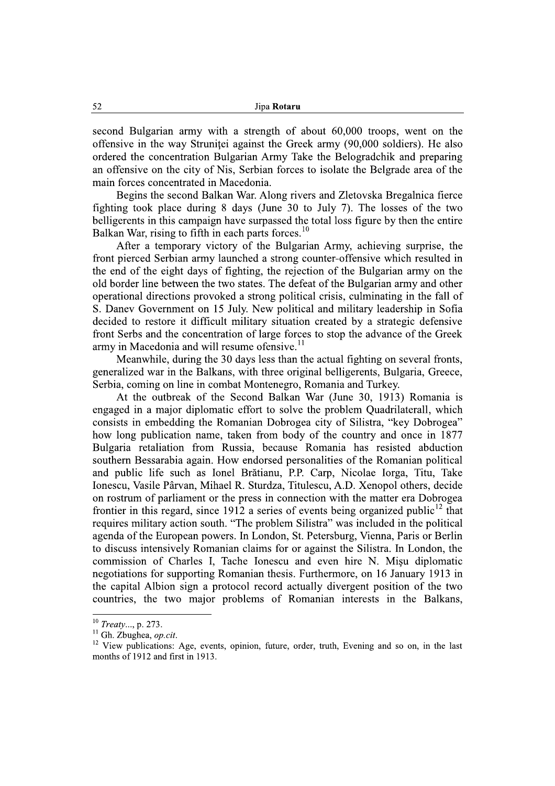second Bulgarian army with a strength of about 60,000 troops, went on the offensive in the way Strunitei against the Greek army (90,000 soldiers). He also ordered the concentration Bulgarian Army Take the Belogradchik and preparing an offensive on the city of Nis, Serbian forces to isolate the Belgrade area of the main forces concentrated in Macedonia.

Begins the second Balkan War. Along rivers and Zletovska Bregalnica fierce fighting took place during 8 days (June 30 to July 7). The losses of the two belligerents in this campaign have surpassed the total loss figure by then the entire Balkan War, rising to fifth in each parts forces.<sup>10</sup>

After a temporary victory of the Bulgarian Army, achieving surprise, the front pierced Serbian army launched a strong counter-offensive which resulted in the end of the eight days of fighting, the rejection of the Bulgarian army on the old border line between the two states. The defeat of the Bulgarian army and other operational directions provoked a strong political crisis, culminating in the fall of S. Daney Government on 15 July. New political and military leadership in Sofia decided to restore it difficult military situation created by a strategic defensive front Serbs and the concentration of large forces to stop the advance of the Greek army in Macedonia and will resume of ensive.<sup>11</sup>

Meanwhile, during the 30 days less than the actual fighting on several fronts, generalized war in the Balkans, with three original belligerents, Bulgaria, Greece, Serbia, coming on line in combat Montenegro, Romania and Turkey.

At the outbreak of the Second Balkan War (June 30, 1913) Romania is engaged in a major diplomatic effort to solve the problem Quadrilaterall, which consists in embedding the Romanian Dobrogea city of Silistra, "key Dobrogea" how long publication name, taken from body of the country and once in 1877 Bulgaria retaliation from Russia, because Romania has resisted abduction southern Bessarabia again. How endorsed personalities of the Romanian political and public life such as Ionel Brătianu, P.P. Carp, Nicolae Iorga, Titu, Take Ionescu, Vasile Pârvan, Mihael R. Sturdza, Titulescu, A.D. Xenopol others, decide on rostrum of parliament or the press in connection with the matter era Dobrogea frontier in this regard, since 1912 a series of events being organized public<sup>12</sup> that requires military action south. "The problem Silistra" was included in the political agenda of the European powers. In London, St. Petersburg, Vienna, Paris or Berlin to discuss intensively Romanian claims for or against the Silistra. In London, the commission of Charles I, Tache Ionescu and even hire N. Misu diplomatic negotiations for supporting Romanian thesis. Furthermore, on 16 January 1913 in the capital Albion sign a protocol record actually divergent position of the two countries, the two major problems of Romanian interests in the Balkans,

 $10$  Treaty..., p. 273.

<sup>&</sup>lt;sup>11</sup> Gh. Zbughea, op.cit.

<sup>&</sup>lt;sup>12</sup> View publications: Age, events, opinion, future, order, truth, Evening and so on, in the last months of 1912 and first in 1913.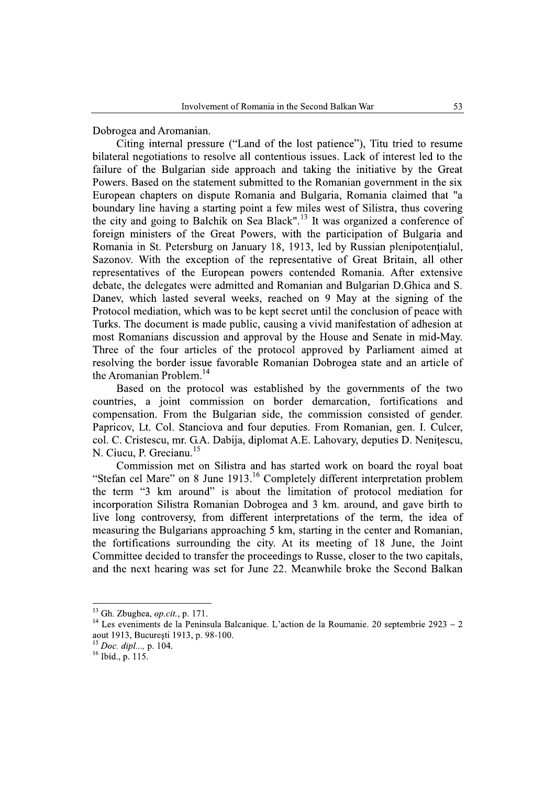Dobrogea and Aromanian.

Citing internal pressure ("Land of the lost patience"). Titu tried to resume bilateral negotiations to resolve all contentious issues. Lack of interest led to the failure of the Bulgarian side approach and taking the initiative by the Great Powers. Based on the statement submitted to the Romanian government in the six European chapters on dispute Romania and Bulgaria, Romania claimed that "a boundary line having a starting point a few miles west of Silistra, thus covering the city and going to Balchik on Sea Black".<sup>13</sup> It was organized a conference of foreign ministers of the Great Powers, with the participation of Bulgaria and Romania in St. Petersburg on January 18, 1913, led by Russian plenipotentialul, Sazonov. With the exception of the representative of Great Britain, all other representatives of the European powers contended Romania. After extensive debate, the delegates were admitted and Romanian and Bulgarian D. Ghica and S. Daney, which lasted several weeks, reached on 9 May at the signing of the Protocol mediation, which was to be kept secret until the conclusion of peace with Turks. The document is made public, causing a vivid manifestation of adhesion at most Romanians discussion and approval by the House and Senate in mid-May. Three of the four articles of the protocol approved by Parliament aimed at resolving the border issue favorable Romanian Dobrogea state and an article of the Aromanian Problem.<sup>14</sup>

Based on the protocol was established by the governments of the two countries, a joint commission on border demarcation, fortifications and compensation. From the Bulgarian side, the commission consisted of gender. Papricov, Lt. Col. Stanciova and four deputies. From Romanian, gen. I. Culcer, col. C. Cristescu, mr. G.A. Dabija, diplomat A.E. Lahovary, deputies D. Nenitescu, N. Ciucu, P. Grecianu.<sup>15</sup>

Commission met on Silistra and has started work on board the roval boat "Stefan cel Mare" on 8 June 1913.<sup>16</sup> Completely different interpretation problem the term "3 km around" is about the limitation of protocol mediation for incorporation Silistra Romanian Dobrogea and 3 km. around, and gave birth to live long controversy, from different interpretations of the term, the idea of measuring the Bulgarians approaching 5 km, starting in the center and Romanian, the fortifications surrounding the city. At its meeting of 18 June, the Joint Committee decided to transfer the proceedings to Russe, closer to the two capitals, and the next hearing was set for June 22. Meanwhile broke the Second Balkan

<sup>&</sup>lt;sup>13</sup> Gh. Zbughea, *op.cit.*, p. 171.

<sup>&</sup>lt;sup>14</sup> Les eveniments de la Peninsula Balcanique. L'action de la Roumanie. 20 septembrie 2923 – 2 aout 1913, București 1913, p. 98-100.

 $^{15}$  Doc. dipl..., p. 104.

 $16$  Ibid., p. 115.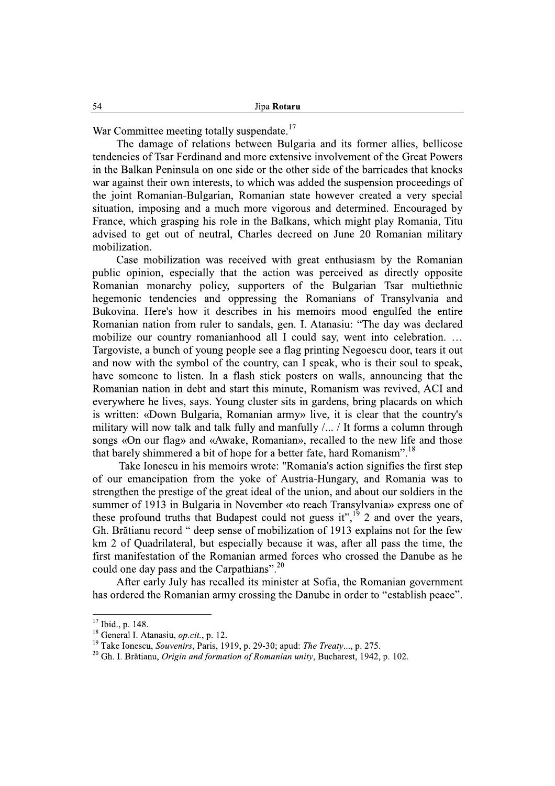War Committee meeting totally suspendate.<sup>17</sup>

The damage of relations between Bulgaria and its former allies, bellicose tendencies of Tsar Ferdinand and more extensive involvement of the Great Powers in the Balkan Peninsula on one side or the other side of the barricades that knocks war against their own interests, to which was added the suspension proceedings of the joint Romanian-Bulgarian, Romanian state however created a very special situation, imposing and a much more vigorous and determined. Encouraged by France, which grasping his role in the Balkans, which might play Romania, Titu advised to get out of neutral, Charles decreed on June 20 Romanian military mobilization.

Case mobilization was received with great enthusiasm by the Romanian public opinion, especially that the action was perceived as directly opposite Romanian monarchy policy, supporters of the Bulgarian Tsar multiethnic hegemonic tendencies and oppressing the Romanians of Transylvania and Bukovina. Here's how it describes in his memoirs mood engulfed the entire Romanian nation from ruler to sandals, gen. I. Atanasiu: "The day was declared mobilize our country romanianhood all I could say, went into celebration. ... Targoviste, a bunch of young people see a flag printing Negoescu door, tears it out and now with the symbol of the country, can I speak, who is their soul to speak, have someone to listen. In a flash stick posters on walls, announcing that the Romanian nation in debt and start this minute, Romanism was revived, ACI and everywhere he lives, says. Young cluster sits in gardens, bring placards on which is written: «Down Bulgaria, Romanian army» live, it is clear that the country's military will now talk and talk fully and manfully /... / It forms a column through songs «On our flag» and «Awake, Romanian», recalled to the new life and those that barely shimmered a bit of hope for a better fate, hard Romanism".<sup>18</sup>

Take Ionescu in his memoirs wrote: "Romania's action signifies the first step of our emancipation from the voke of Austria-Hungary, and Romania was to strengthen the prestige of the great ideal of the union, and about our soldiers in the summer of 1913 in Bulgaria in November «to reach Transylvania» express one of these profound truths that Budapest could not guess it",<sup>19</sup> 2 and over the years, Gh. Brătianu record " deep sense of mobilization of 1913 explains not for the few km 2 of Quadrilateral, but especially because it was, after all pass the time, the first manifestation of the Romanian armed forces who crossed the Danube as he could one day pass and the Carpathians".<sup>20</sup>

After early July has recalled its minister at Sofia, the Romanian government has ordered the Romanian army crossing the Danube in order to "establish peace".

<sup>&</sup>lt;sup>17</sup> Ibid., p. 148.

 $^{18}$  General I. Atanasiu, *op.cit.*, p. 12.

<sup>&</sup>lt;sup>19</sup> Take Ionescu, Souvenirs, Paris, 1919, p. 29-30; apud: The Treaty..., p. 275.

<sup>&</sup>lt;sup>20</sup> Gh. I. Brătianu, Origin and formation of Romanian unity, Bucharest, 1942, p. 102.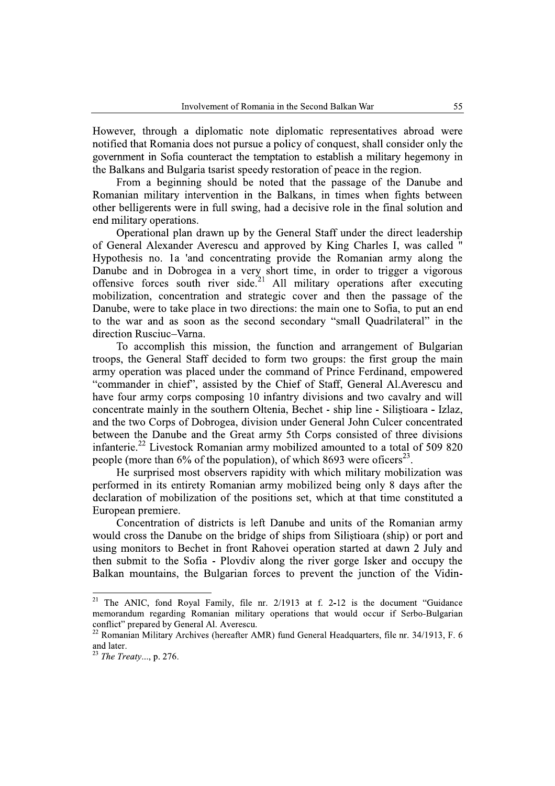However, through a diplomatic note diplomatic representatives abroad were notified that Romania does not pursue a policy of conquest, shall consider only the government in Sofia counteract the temptation to establish a military hegemony in the Balkans and Bulgaria tsarist speedy restoration of peace in the region.

From a beginning should be noted that the passage of the Danube and Romanian military intervention in the Balkans, in times when fights between other belligerents were in full swing, had a decisive role in the final solution and end military operations.

Operational plan drawn up by the General Staff under the direct leadership of General Alexander Averescu and approved by King Charles I, was called " Hypothesis no. 1a 'and concentrating provide the Romanian army along the Danube and in Dobrogea in a very short time, in order to trigger a vigorous offensive forces south river side.<sup>21</sup> All military operations after executing mobilization, concentration and strategic cover and then the passage of the Danube, were to take place in two directions: the main one to Sofia, to put an end to the war and as soon as the second secondary "small Quadrilateral" in the direction Rusciuc-Varna.

To accomplish this mission, the function and arrangement of Bulgarian troops, the General Staff decided to form two groups: the first group the main army operation was placed under the command of Prince Ferdinand, empowered "commander in chief", assisted by the Chief of Staff, General Al.Averescu and have four army corps composing 10 infantry divisions and two cavalry and will concentrate mainly in the southern Oltenia, Bechet - ship line - Silistioara - Izlaz, and the two Corps of Dobrogea, division under General John Culcer concentrated between the Danube and the Great army 5th Corps consisted of three divisions infanterie.<sup>22</sup> Livestock Romanian army mobilized amounted to a total of 509 820 people (more than  $6\%$  of the population), of which 8693 were officers<sup>23</sup>.

He surprised most observers rapidity with which military mobilization was performed in its entirety Romanian army mobilized being only 8 days after the declaration of mobilization of the positions set, which at that time constituted a European premiere.

Concentration of districts is left Danube and units of the Romanian army would cross the Danube on the bridge of ships from Silistioara (ship) or port and using monitors to Bechet in front Rahovei operation started at dawn 2 July and then submit to the Sofia - Ploydiv along the river gorge Isker and occupy the Balkan mountains, the Bulgarian forces to prevent the junction of the Vidin-

<sup>&</sup>lt;sup>21</sup> The ANIC, fond Royal Family, file nr.  $2/1913$  at f. 2-12 is the document "Guidance" memorandum regarding Romanian military operations that would occur if Serbo-Bulgarian conflict" prepared by General Al. Averescu.<br><sup>22</sup> Romanian Military Archives (hereafter AMR) fund General Headquarters, file nr. 34/1913, F. 6

and later.

<sup>&</sup>lt;sup>23</sup> The Treaty..., p. 276.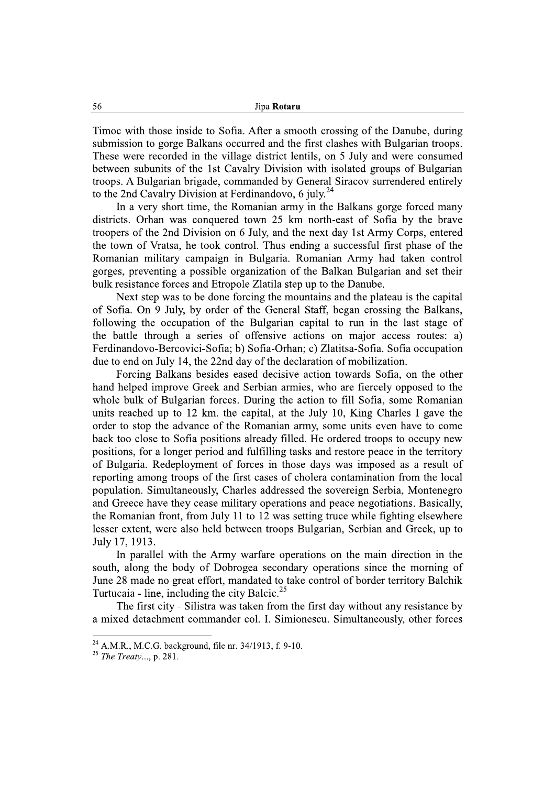Timoc with those inside to Sofia. After a smooth crossing of the Danube, during submission to gorge Balkans occurred and the first clashes with Bulgarian troops. These were recorded in the village district lentils, on 5 July and were consumed between subunits of the 1st Cavalry Division with isolated groups of Bulgarian troops. A Bulgarian brigade, commanded by General Siracov surrendered entirely to the 2nd Cavalry Division at Ferdinandovo, 6 july.<sup>24</sup>

In a very short time, the Romanian army in the Balkans gorge forced many districts. Orhan was conquered town 25 km north-east of Sofia by the brave troopers of the 2nd Division on 6 July, and the next day 1st Army Corps, entered the town of Vratsa, he took control. Thus ending a successful first phase of the Romanian military campaign in Bulgaria. Romanian Army had taken control gorges, preventing a possible organization of the Balkan Bulgarian and set their bulk resistance forces and Etropole Zlatila step up to the Danube.

Next step was to be done forcing the mountains and the plateau is the capital of Sofia. On 9 July, by order of the General Staff, began crossing the Balkans, following the occupation of the Bulgarian capital to run in the last stage of the battle through a series of offensive actions on major access routes: a) Ferdinandovo-Bercovici-Sofia; b) Sofia-Orhan; c) Zlatitsa-Sofia. Sofia occupation due to end on July 14, the 22nd day of the declaration of mobilization.

Forcing Balkans besides eased decisive action towards Sofia, on the other hand helped improve Greek and Serbian armies, who are fiercely opposed to the whole bulk of Bulgarian forces. During the action to fill Sofia, some Romanian units reached up to 12 km. the capital, at the July 10, King Charles I gave the order to stop the advance of the Romanian army, some units even have to come back too close to Sofia positions already filled. He ordered troops to occupy new positions, for a longer period and fulfilling tasks and restore peace in the territory of Bulgaria. Redeployment of forces in those days was imposed as a result of reporting among troops of the first cases of cholera contamination from the local population. Simultaneously, Charles addressed the sovereign Serbia, Montenegro and Greece have they cease military operations and peace negotiations. Basically, the Romanian front, from July 11 to 12 was setting truce while fighting elsewhere lesser extent, were also held between troops Bulgarian, Serbian and Greek, up to July 17, 1913.

In parallel with the Army warfare operations on the main direction in the south, along the body of Dobrogea secondary operations since the morning of June 28 made no great effort, mandated to take control of border territory Balchik Turtucaia - line, including the city Balcic.<sup>25</sup>

The first city - Silistra was taken from the first day without any resistance by a mixed detachment commander col. I. Simionescu. Simultaneously, other forces

<sup>&</sup>lt;sup>24</sup> A.M.R., M.C.G. background, file nr. 34/1913, f. 9-10.

 $25$  The Treaty..., p. 281.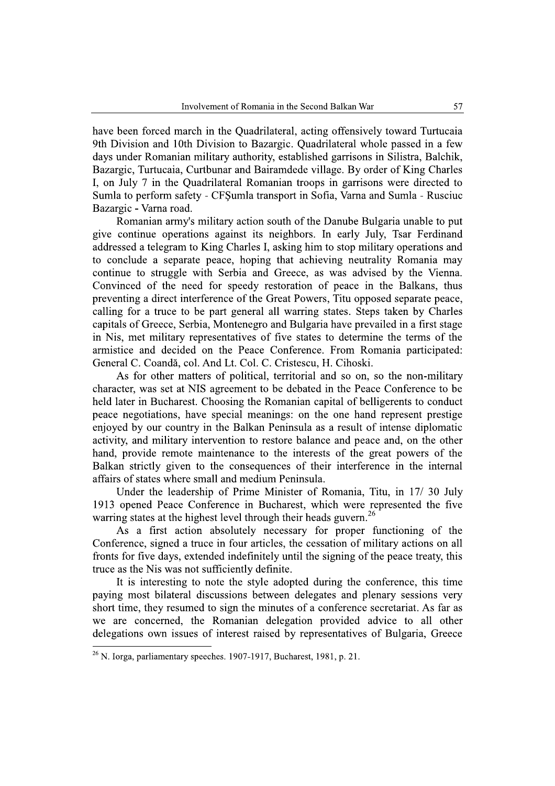have been forced march in the Quadrilateral, acting offensively toward Turtucaia 9th Division and 10th Division to Bazargic. Quadrilateral whole passed in a few days under Romanian military authority, established garrisons in Silistra, Balchik, Bazargic, Turtucaia, Curtbunar and Bairamdede village. By order of King Charles I, on July 7 in the Quadrilateral Romanian troops in garrisons were directed to Sumla to perform safety - CFSumla transport in Sofia, Varna and Sumla - Rusciuc Bazargic - Varna road.

Romanian army's military action south of the Danube Bulgaria unable to put give continue operations against its neighbors. In early July, Tsar Ferdinand addressed a telegram to King Charles I, asking him to stop military operations and to conclude a separate peace, hoping that achieving neutrality Romania may continue to struggle with Serbia and Greece, as was advised by the Vienna. Convinced of the need for speedy restoration of peace in the Balkans, thus preventing a direct interference of the Great Powers, Titu opposed separate peace, calling for a truce to be part general all warring states. Steps taken by Charles capitals of Greece, Serbia, Montenegro and Bulgaria have prevailed in a first stage in Nis, met military representatives of five states to determine the terms of the armistice and decided on the Peace Conference. From Romania participated: General C. Coandă, col. And Lt. Col. C. Cristescu, H. Cihoski.

As for other matters of political, territorial and so on, so the non-military character, was set at NIS agreement to be debated in the Peace Conference to be held later in Bucharest. Choosing the Romanian capital of belligerents to conduct peace negotiations, have special meanings: on the one hand represent prestige enjoyed by our country in the Balkan Peninsula as a result of intense diplomatic activity, and military intervention to restore balance and peace and, on the other hand, provide remote maintenance to the interests of the great powers of the Balkan strictly given to the consequences of their interference in the internal affairs of states where small and medium Peninsula.

Under the leadership of Prime Minister of Romania, Titu, in 17/30 July 1913 opened Peace Conference in Bucharest, which were represented the five warring states at the highest level through their heads guvern.<sup>26</sup>

As a first action absolutely necessary for proper functioning of the Conference, signed a truce in four articles, the cessation of military actions on all fronts for five days, extended indefinitely until the signing of the peace treaty, this truce as the Nis was not sufficiently definite.

It is interesting to note the style adopted during the conference, this time paying most bilateral discussions between delegates and plenary sessions very short time, they resumed to sign the minutes of a conference secretariat. As far as we are concerned, the Romanian delegation provided advice to all other delegations own issues of interest raised by representatives of Bulgaria, Greece

 $^{26}$  N. Iorga, parliamentary speeches. 1907-1917, Bucharest, 1981, p. 21.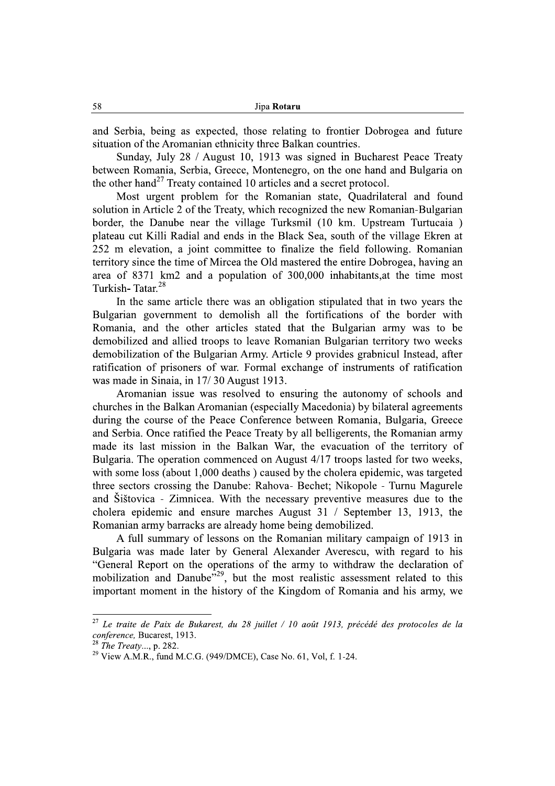and Serbia, being as expected, those relating to frontier Dobrogea and future situation of the Aromanian ethnicity three Balkan countries.

Sunday, July 28 / August 10, 1913 was signed in Bucharest Peace Treaty between Romania, Serbia, Greece, Montenegro, on the one hand and Bulgaria on the other hand<sup>27</sup> Treaty contained 10 articles and a secret protocol.

Most urgent problem for the Romanian state, Quadrilateral and found solution in Article 2 of the Treaty, which recognized the new Romanian-Bulgarian border, the Danube near the village Turksmil (10 km. Upstream Turtucaia) plateau cut Killi Radial and ends in the Black Sea, south of the village Ekren at 252 m elevation, a joint committee to finalize the field following. Romanian territory since the time of Mircea the Old mastered the entire Dobrogea, having an area of 8371 km2 and a population of 300,000 inhabitants, at the time most Turkish-Tatar.<sup>28</sup>

In the same article there was an obligation stipulated that in two years the Bulgarian government to demolish all the fortifications of the border with Romania, and the other articles stated that the Bulgarian army was to be demobilized and allied troops to leave Romanian Bulgarian territory two weeks demobilization of the Bulgarian Army. Article 9 provides grabnicul Instead, after ratification of prisoners of war. Formal exchange of instruments of ratification was made in Sinaia, in 17/30 August 1913.

Aromanian issue was resolved to ensuring the autonomy of schools and churches in the Balkan Aromanian (especially Macedonia) by bilateral agreements during the course of the Peace Conference between Romania, Bulgaria, Greece and Serbia. Once ratified the Peace Treaty by all belligerents, the Romanian army made its last mission in the Balkan War, the evacuation of the territory of Bulgaria. The operation commenced on August 4/17 troops lasted for two weeks, with some loss (about 1,000 deaths) caused by the cholera epidemic, was targeted three sectors crossing the Danube: Rahova- Bechet; Nikopole - Turnu Magurele and Šištovica - Zimnicea. With the necessary preventive measures due to the cholera epidemic and ensure marches August 31 / September 13, 1913, the Romanian army barracks are already home being demobilized.

A full summary of lessons on the Romanian military campaign of 1913 in Bulgaria was made later by General Alexander Averescu, with regard to his "General Report on the operations of the army to withdraw the declaration of mobilization and Danube<sup>729</sup>, but the most realistic assessment related to this important moment in the history of the Kingdom of Romania and his army, we

<sup>&</sup>lt;sup>27</sup> Le traite de Paix de Bukarest, du 28 juillet / 10 août 1913, précédé des protocoles de la conference, Bucarest, 1913.

 $^{28}$  The Treaty..., p. 282.

<sup>&</sup>lt;sup>29</sup> View A.M.R., fund M.C.G. (949/DMCE), Case No. 61, Vol. f. 1-24.